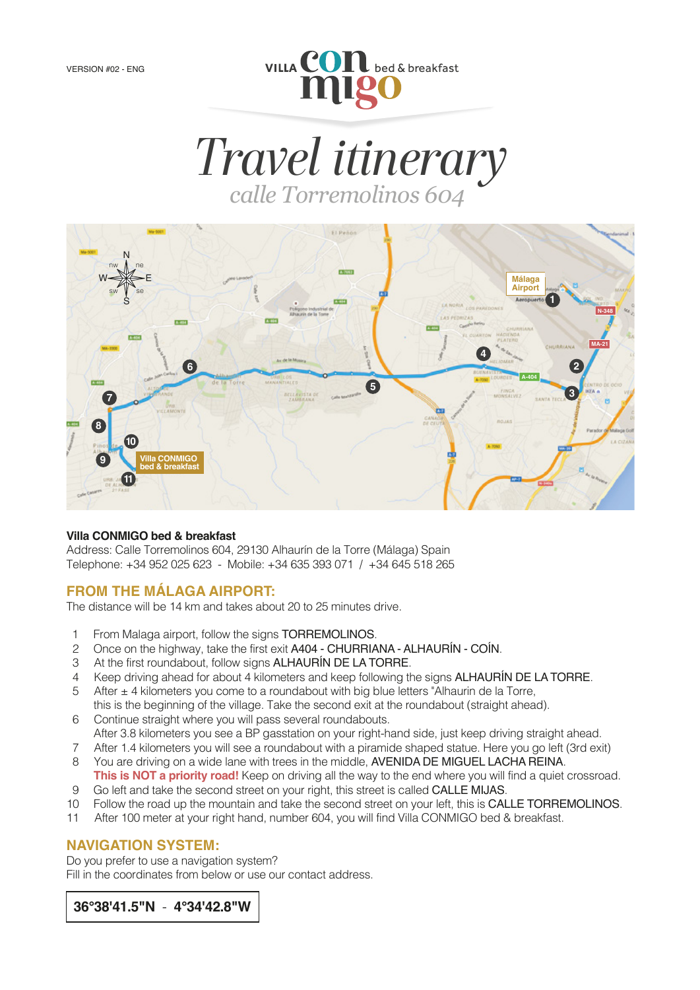

*Travel itinerary calle Torremolinos 604*



### **Villa CONMIGO bed & breakfast**

Address: Calle Torremolinos 604, 29130 Alhaurín de la Torre (Málaga) Spain Telephone: +34 952 025 623 - Mobile: +34 635 393 071 / +34 645 518 265

### **FROM THE MÁLAGA AIRPORT:**

The distance will be 14 km and takes about 20 to 25 minutes drive.

- 1 From Malaga airport, follow the signs **TORREMOLINOS.**<br>2 Once on the highway, take the first exit **A404 CHURRIA**
- 2 Once on the highway, take the first exit A404 CHURRIANA ALHAURÍN COÍN.
- 3 At the first roundabout, follow signs ALHAURÍN DE LA TORRE.
- 4 Keep driving ahead for about 4 kilometers and keep following the signs  $ALHAURÍN DE LA TORRE.$ <br>5 After  $\pm$  4 kilometers you come to a roundabout with big blue letters "Alhaurin de la Torre.
- After  $\pm$  4 kilometers you come to a roundabout with big blue letters "Alhaurin de la Torre, this is the beginning of the village. Take the second exit at the roundabout (straight ahead).
- 6 Continue straight where you will pass several roundabouts. After 3.8 kilometers you see a BP gasstation on your right-hand side, just keep driving straight ahead.
- 7 After 1.4 kilometers you will see a roundabout with a piramide shaped statue. Here you go left (3rd exit)
- 8 You are driving on a wide lane with trees in the middle, AVENIDA DE MIGUEL LACHA REINA. **This is NOT a priority road!** Keep on driving all the way to the end where you will find a quiet crossroad.
- 9 Go left and take the second street on your right, this street is called CALLE MIJAS.
- 10 Follow the road up the mountain and take the second street on your left, this is CALLE TORREMOLINOS.
- 11 After 100 meter at your right hand, number 604, you will find Villa CONMIGO bed & breakfast.

### **NAVIGATION SYSTEM:**

Do you prefer to use a navigation system? Fill in the coordinates from below or use our contact address.

 **36°38'41.5"N** - **4°34'42.8"W**